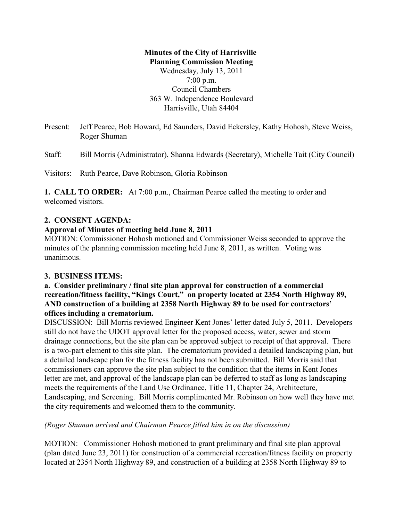#### **Minutes of the City of Harrisville Planning Commission Meeting**

Wednesday, July 13, 2011 7:00 p.m. Council Chambers 363 W. Independence Boulevard Harrisville, Utah 84404

Present: Jeff Pearce, Bob Howard, Ed Saunders, David Eckersley, Kathy Hohosh, Steve Weiss, Roger Shuman

Staff: Bill Morris (Administrator), Shanna Edwards (Secretary), Michelle Tait (City Council)

Visitors: Ruth Pearce, Dave Robinson, Gloria Robinson

**1. CALL TO ORDER:** At 7:00 p.m., Chairman Pearce called the meeting to order and welcomed visitors.

#### **2. CONSENT AGENDA:**

#### **Approval of Minutes of meeting held June 8, 2011**

MOTION: Commissioner Hohosh motioned and Commissioner Weiss seconded to approve the minutes of the planning commission meeting held June 8, 2011, as written. Voting was unanimous.

## **3. BUSINESS ITEMS:**

#### **a. Consider preliminary / final site plan approval for construction of a commercial recreation/fitness facility, "Kings Court," on property located at 2354 North Highway 89, AND construction of a building at 2358 North Highway 89 to be used for contractors' offices including a crematorium.**

DISCUSSION: Bill Morris reviewed Engineer Kent Jones' letter dated July 5, 2011. Developers still do not have the UDOT approval letter for the proposed access, water, sewer and storm drainage connections, but the site plan can be approved subject to receipt of that approval. There is a two-part element to this site plan. The crematorium provided a detailed landscaping plan, but a detailed landscape plan for the fitness facility has not been submitted. Bill Morris said that commissioners can approve the site plan subject to the condition that the items in Kent Jones letter are met, and approval of the landscape plan can be deferred to staff as long as landscaping meets the requirements of the Land Use Ordinance, Title 11, Chapter 24, Architecture, Landscaping, and Screening. Bill Morris complimented Mr. Robinson on how well they have met the city requirements and welcomed them to the community.

## *(Roger Shuman arrived and Chairman Pearce filled him in on the discussion)*

MOTION: Commissioner Hohosh motioned to grant preliminary and final site plan approval (plan dated June 23, 2011) for construction of a commercial recreation/fitness facility on property located at 2354 North Highway 89, and construction of a building at 2358 North Highway 89 to